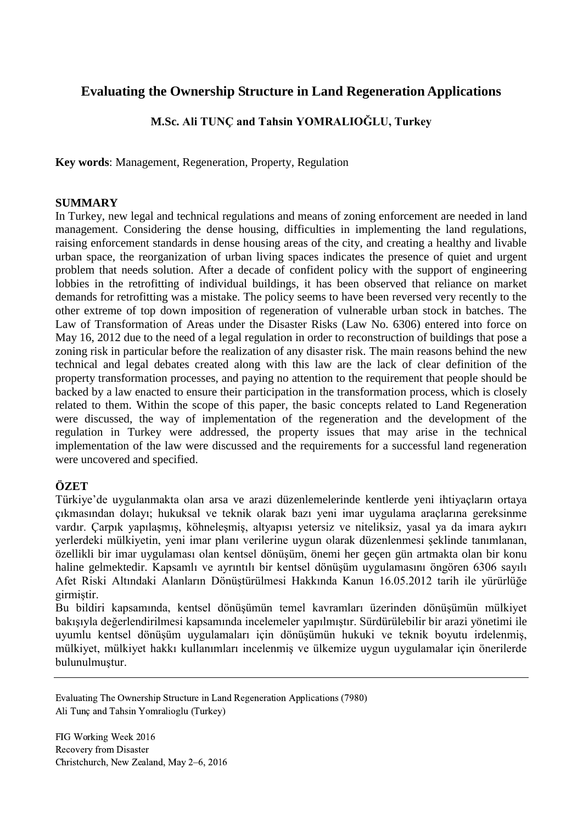# **Evaluating the Ownership Structure in Land Regeneration Applications**

# **M.Sc. Ali TUNÇ and Tahsin YOMRALIOĞLU, Turkey**

**Key words**: Management, Regeneration, Property, Regulation

### **SUMMARY**

In Turkey, new legal and technical regulations and means of zoning enforcement are needed in land management. Considering the dense housing, difficulties in implementing the land regulations, raising enforcement standards in dense housing areas of the city, and creating a healthy and livable urban space, the reorganization of urban living spaces indicates the presence of quiet and urgent problem that needs solution. After a decade of confident policy with the support of engineering lobbies in the retrofitting of individual buildings, it has been observed that reliance on market demands for retrofitting was a mistake. The policy seems to have been reversed very recently to the other extreme of top down imposition of regeneration of vulnerable urban stock in batches. The Law of Transformation of Areas under the Disaster Risks (Law No. 6306) entered into force on May 16, 2012 due to the need of a legal regulation in order to reconstruction of buildings that pose a zoning risk in particular before the realization of any disaster risk. The main reasons behind the new technical and legal debates created along with this law are the lack of clear definition of the property transformation processes, and paying no attention to the requirement that people should be backed by a law enacted to ensure their participation in the transformation process, which is closely related to them. Within the scope of this paper, the basic concepts related to Land Regeneration were discussed, the way of implementation of the regeneration and the development of the regulation in Turkey were addressed, the property issues that may arise in the technical implementation of the law were discussed and the requirements for a successful land regeneration were uncovered and specified.

## **ÖZET**

Türkiye'de uygulanmakta olan arsa ve arazi düzenlemelerinde kentlerde yeni ihtiyaçların ortaya çıkmasından dolayı; hukuksal ve teknik olarak bazı yeni imar uygulama araçlarına gereksinme vardır. Çarpık yapılaşmış, köhneleşmiş, altyapısı yetersiz ve niteliksiz, yasal ya da imara aykırı yerlerdeki mülkiyetin, yeni imar planı verilerine uygun olarak düzenlenmesi şeklinde tanımlanan, özellikli bir imar uygulaması olan kentsel dönüşüm, önemi her geçen gün artmakta olan bir konu haline gelmektedir. Kapsamlı ve ayrıntılı bir kentsel dönüşüm uygulamasını öngören 6306 sayılı Afet Riski Altındaki Alanların Dönüştürülmesi Hakkında Kanun 16.05.2012 tarih ile yürürlüğe girmiştir.

Bu bildiri kapsamında, kentsel dönüşümün temel kavramları üzerinden dönüşümün mülkiyet bakışıyla değerlendirilmesi kapsamında incelemeler yapılmıştır. Sürdürülebilir bir arazi yönetimi ile uyumlu kentsel dönüşüm uygulamaları için dönüşümün hukuki ve teknik boyutu irdelenmiş, mülkiyet, mülkiyet hakkı kullanımları incelenmiş ve ülkemize uygun uygulamalar için önerilerde bulunulmuştur.

Evaluating The Ownership Structure in Land Regeneration Applications (7980) Ali Tunç and Tahsin Yomralioglu (Turkey)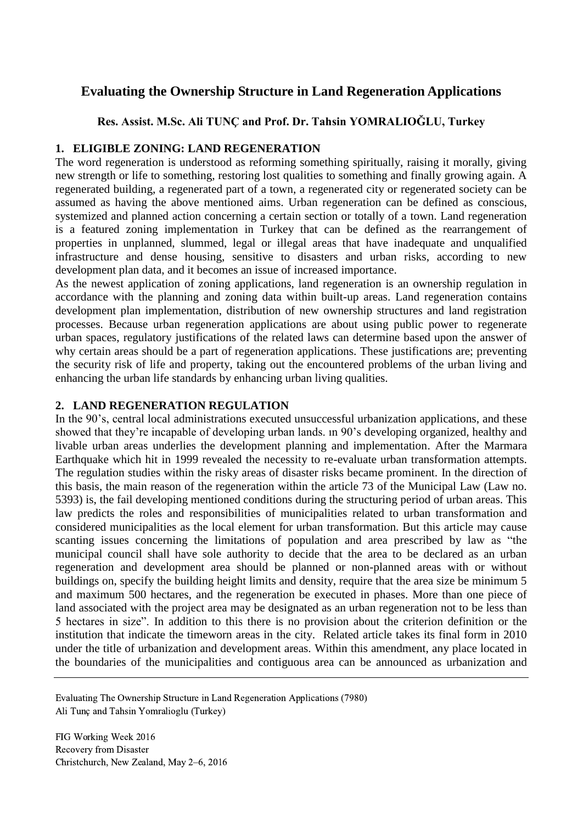# **Evaluating the Ownership Structure in Land Regeneration Applications**

# **Res. Assist. M.Sc. Ali TUNÇ and Prof. Dr. Tahsin YOMRALIOĞLU, Turkey**

# **1. ELIGIBLE ZONING: LAND REGENERATION**

The word regeneration is understood as reforming something spiritually, raising it morally, giving new strength or life to something, restoring lost qualities to something and finally growing again. A regenerated building, a regenerated part of a town, a regenerated city or regenerated society can be assumed as having the above mentioned aims. Urban regeneration can be defined as conscious, systemized and planned action concerning a certain section or totally of a town. Land regeneration is a featured zoning implementation in Turkey that can be defined as the rearrangement of properties in unplanned, slummed, legal or illegal areas that have inadequate and unqualified infrastructure and dense housing, sensitive to disasters and urban risks, according to new development plan data, and it becomes an issue of increased importance.

As the newest application of zoning applications, land regeneration is an ownership regulation in accordance with the planning and zoning data within built-up areas. Land regeneration contains development plan implementation, distribution of new ownership structures and land registration processes. Because urban regeneration applications are about using public power to regenerate urban spaces, regulatory justifications of the related laws can determine based upon the answer of why certain areas should be a part of regeneration applications. These justifications are; preventing the security risk of life and property, taking out the encountered problems of the urban living and enhancing the urban life standards by enhancing urban living qualities.

# **2. LAND REGENERATION REGULATION**

In the 90's, central local administrations executed unsuccessful urbanization applications, and these showed that they're incapable of developing urban lands. ın 90's developing organized, healthy and livable urban areas underlies the development planning and implementation. After the Marmara Earthquake which hit in 1999 revealed the necessity to re-evaluate urban transformation attempts. The regulation studies within the risky areas of disaster risks became prominent. In the direction of this basis, the main reason of the regeneration within the article 73 of the Municipal Law (Law no. 5393) is, the fail developing mentioned conditions during the structuring period of urban areas. This law predicts the roles and responsibilities of municipalities related to urban transformation and considered municipalities as the local element for urban transformation. But this article may cause scanting issues concerning the limitations of population and area prescribed by law as "the municipal council shall have sole authority to decide that the area to be declared as an urban regeneration and development area should be planned or non-planned areas with or without buildings on, specify the building height limits and density, require that the area size be minimum 5 and maximum 500 hectares, and the regeneration be executed in phases. More than one piece of land associated with the project area may be designated as an urban regeneration not to be less than 5 hectares in size". In addition to this there is no provision about the criterion definition or the institution that indicate the timeworn areas in the city. Related article takes its final form in 2010 under the title of urbanization and development areas. Within this amendment, any place located in the boundaries of the municipalities and contiguous area can be announced as urbanization and

Evaluating The Ownership Structure in Land Regeneration Applications (7980) Ali Tunç and Tahsin Yomralioglu (Turkey)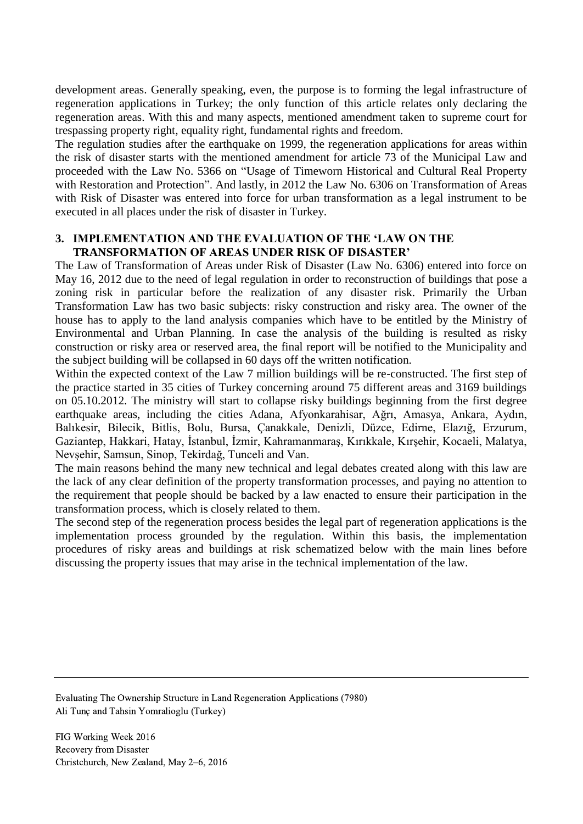development areas. Generally speaking, even, the purpose is to forming the legal infrastructure of regeneration applications in Turkey; the only function of this article relates only declaring the regeneration areas. With this and many aspects, mentioned amendment taken to supreme court for trespassing property right, equality right, fundamental rights and freedom.

The regulation studies after the earthquake on 1999, the regeneration applications for areas within the risk of disaster starts with the mentioned amendment for article 73 of the Municipal Law and proceeded with the Law No. 5366 on "Usage of Timeworn Historical and Cultural Real Property with Restoration and Protection". And lastly, in 2012 the Law No. 6306 on Transformation of Areas with Risk of Disaster was entered into force for urban transformation as a legal instrument to be executed in all places under the risk of disaster in Turkey.

### **3. IMPLEMENTATION AND THE EVALUATION OF THE 'LAW ON THE TRANSFORMATION OF AREAS UNDER RISK OF DISASTER'**

The Law of Transformation of Areas under Risk of Disaster (Law No. 6306) entered into force on May 16, 2012 due to the need of legal regulation in order to reconstruction of buildings that pose a zoning risk in particular before the realization of any disaster risk. Primarily the Urban Transformation Law has two basic subjects: risky construction and risky area. The owner of the house has to apply to the land analysis companies which have to be entitled by the Ministry of Environmental and Urban Planning. In case the analysis of the building is resulted as risky construction or risky area or reserved area, the final report will be notified to the Municipality and the subject building will be collapsed in 60 days off the written notification.

Within the expected context of the Law 7 million buildings will be re-constructed. The first step of the practice started in 35 cities of Turkey concerning around 75 different areas and 3169 buildings on 05.10.2012. The ministry will start to collapse risky buildings beginning from the first degree earthquake areas, including the cities Adana, Afyonkarahisar, Ağrı, Amasya, Ankara, Aydın, Balıkesir, Bilecik, Bitlis, Bolu, Bursa, Çanakkale, Denizli, Düzce, Edirne, Elazığ, Erzurum, Gaziantep, Hakkari, Hatay, İstanbul, İzmir, Kahramanmaraş, Kırıkkale, Kırşehir, Kocaeli, Malatya, Nevşehir, Samsun, Sinop, Tekirdağ, Tunceli and Van.

The main reasons behind the many new technical and legal debates created along with this law are the lack of any clear definition of the property transformation processes, and paying no attention to the requirement that people should be backed by a law enacted to ensure their participation in the transformation process, which is closely related to them.

The second step of the regeneration process besides the legal part of regeneration applications is the implementation process grounded by the regulation. Within this basis, the implementation procedures of risky areas and buildings at risk schematized below with the main lines before discussing the property issues that may arise in the technical implementation of the law.

Evaluating The Ownership Structure in Land Regeneration Applications (7980) Ali Tunç and Tahsin Yomralioglu (Turkey)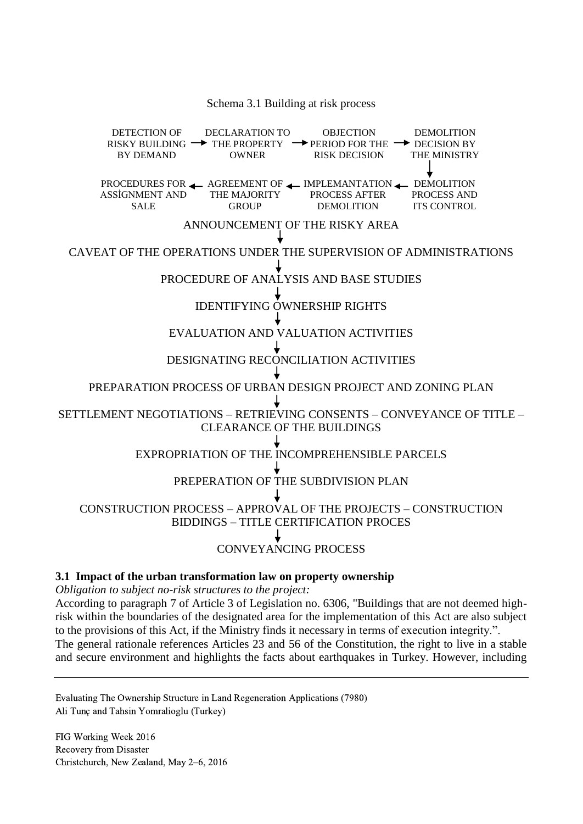#### Schema 3.1 Building at risk process

THE MAJORITY PROCESS A ANNOUNCEMENT OF THE RISKY AREA CAVEAT OF THE OPERATIONS UNDER THE SUPERVISION OF ADMINISTRATIONS PROCEDURE OF ANALYSIS AND BASE STUDIES IDENTIFYING OWNERSHIP RIGHTS EVALUATION AND VALUATION ACTIVITIES DESIGNATING [RECONCILIATION](http://tureng.com/tr/turkce-ingilizce/reconciliation) ACTIVITIES PREPARATION PROCESS OF URBAN DESIGN PROJECT AND ZONING PLAN SETTLEMENT NEGOTIATIONS – RETRIEVING CONSENTS – CONVEYANCE OF TITLE – CLEARANCE OF THE BUILDINGS EXPROPRIATION OF THE INCOMPREHENSIBLE PARCELS PREPERATION OF THE SUBDIVISION PLAN CONSTRUCTION PROCESS – APPROVAL OF THE PROJECTS – CONSTRUCTION BIDDINGS – TITLE CERTIFICATION PROCES CONVEYANCING PROCESS DETECTION OF RISKY BUILDING  $\rightarrow$  THE PROPERTY  $\rightarrow$  PERIOD FOR THE  $\rightarrow$  DECISION BY BY DEMAND DECLARATION TO OWNER OBJECTION RISK DECISION DEMOLITION THE MINISTRY PROCEDURES FOR AGREEMENT OF A IMPLEMANTATION A DEMOLITION PROCESS AND ITS CONTROL PROCESS AFTER DEMOLITION **GROUP** ASSİGNMENT AND **SALE** 

#### **3.1 Impact of the urban transformation law on property ownership**

*Obligation to subject no-risk structures to the project:*

According to paragraph 7 of Article 3 of Legislation no. 6306, "Buildings that are not deemed highrisk within the boundaries of the designated area for the implementation of this Act are also subject to the provisions of this Act, if the Ministry finds it necessary in terms of execution integrity.".

The general rationale references Articles 23 and 56 of the Constitution, the right to live in a stable and secure environment and highlights the facts about earthquakes in Turkey. However, including

Evaluating The Ownership Structure in Land Regeneration Applications (7980) Ali Tunç and Tahsin Yomralioglu (Turkey)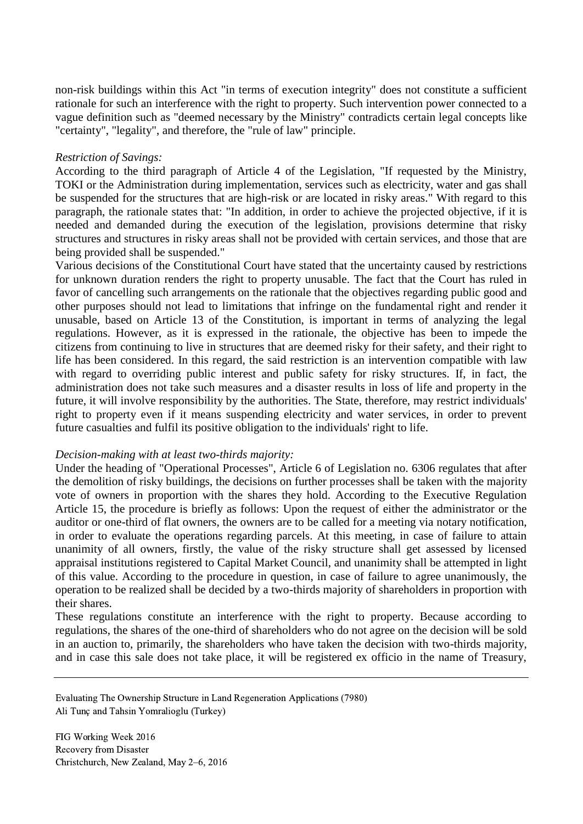non-risk buildings within this Act "in terms of execution integrity" does not constitute a sufficient rationale for such an interference with the right to property. Such intervention power connected to a vague definition such as "deemed necessary by the Ministry" contradicts certain legal concepts like "certainty", "legality", and therefore, the "rule of law" principle.

#### *Restriction of Savings:*

According to the third paragraph of Article 4 of the Legislation, "If requested by the Ministry, TOKI or the Administration during implementation, services such as electricity, water and gas shall be suspended for the structures that are high-risk or are located in risky areas." With regard to this paragraph, the rationale states that: "In addition, in order to achieve the projected objective, if it is needed and demanded during the execution of the legislation, provisions determine that risky structures and structures in risky areas shall not be provided with certain services, and those that are being provided shall be suspended."

Various decisions of the Constitutional Court have stated that the uncertainty caused by restrictions for unknown duration renders the right to property unusable. The fact that the Court has ruled in favor of cancelling such arrangements on the rationale that the objectives regarding public good and other purposes should not lead to limitations that infringe on the fundamental right and render it unusable, based on Article 13 of the Constitution, is important in terms of analyzing the legal regulations. However, as it is expressed in the rationale, the objective has been to impede the citizens from continuing to live in structures that are deemed risky for their safety, and their right to life has been considered. In this regard, the said restriction is an intervention compatible with law with regard to overriding public interest and public safety for risky structures. If, in fact, the administration does not take such measures and a disaster results in loss of life and property in the future, it will involve responsibility by the authorities. The State, therefore, may restrict individuals' right to property even if it means suspending electricity and water services, in order to prevent future casualties and fulfil its positive obligation to the individuals' right to life.

#### *Decision-making with at least two-thirds majority:*

Under the heading of "Operational Processes", Article 6 of Legislation no. 6306 regulates that after the demolition of risky buildings, the decisions on further processes shall be taken with the majority vote of owners in proportion with the shares they hold. According to the Executive Regulation Article 15, the procedure is briefly as follows: Upon the request of either the administrator or the auditor or one-third of flat owners, the owners are to be called for a meeting via notary notification, in order to evaluate the operations regarding parcels. At this meeting, in case of failure to attain unanimity of all owners, firstly, the value of the risky structure shall get assessed by licensed appraisal institutions registered to Capital Market Council, and unanimity shall be attempted in light of this value. According to the procedure in question, in case of failure to agree unanimously, the operation to be realized shall be decided by a two-thirds majority of shareholders in proportion with their shares.

These regulations constitute an interference with the right to property. Because according to regulations, the shares of the one-third of shareholders who do not agree on the decision will be sold in an auction to, primarily, the shareholders who have taken the decision with two-thirds majority, and in case this sale does not take place, it will be registered ex officio in the name of Treasury,

Evaluating The Ownership Structure in Land Regeneration Applications (7980) Ali Tunç and Tahsin Yomralioglu (Turkey)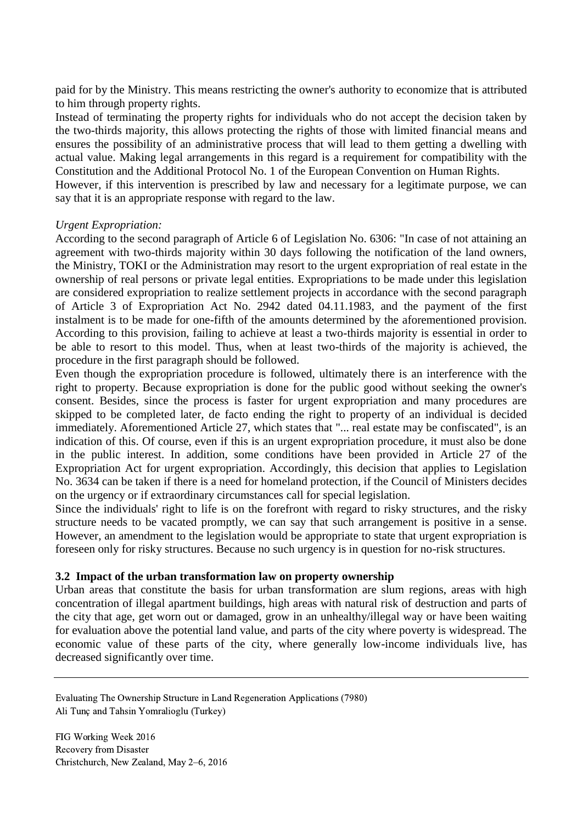paid for by the Ministry. This means restricting the owner's authority to economize that is attributed to him through property rights.

Instead of terminating the property rights for individuals who do not accept the decision taken by the two-thirds majority, this allows protecting the rights of those with limited financial means and ensures the possibility of an administrative process that will lead to them getting a dwelling with actual value. Making legal arrangements in this regard is a requirement for compatibility with the Constitution and the Additional Protocol No. 1 of the European Convention on Human Rights.

However, if this intervention is prescribed by law and necessary for a legitimate purpose, we can say that it is an appropriate response with regard to the law.

#### *Urgent Expropriation:*

According to the second paragraph of Article 6 of Legislation No. 6306: "In case of not attaining an agreement with two-thirds majority within 30 days following the notification of the land owners, the Ministry, TOKI or the Administration may resort to the urgent expropriation of real estate in the ownership of real persons or private legal entities. Expropriations to be made under this legislation are considered expropriation to realize settlement projects in accordance with the second paragraph of Article 3 of Expropriation Act No. 2942 dated 04.11.1983, and the payment of the first instalment is to be made for one-fifth of the amounts determined by the aforementioned provision. According to this provision, failing to achieve at least a two-thirds majority is essential in order to be able to resort to this model. Thus, when at least two-thirds of the majority is achieved, the procedure in the first paragraph should be followed.

Even though the expropriation procedure is followed, ultimately there is an interference with the right to property. Because expropriation is done for the public good without seeking the owner's consent. Besides, since the process is faster for urgent expropriation and many procedures are skipped to be completed later, de facto ending the right to property of an individual is decided immediately. Aforementioned Article 27, which states that "... real estate may be confiscated", is an indication of this. Of course, even if this is an urgent expropriation procedure, it must also be done in the public interest. In addition, some conditions have been provided in Article 27 of the Expropriation Act for urgent expropriation. Accordingly, this decision that applies to Legislation No. 3634 can be taken if there is a need for homeland protection, if the Council of Ministers decides on the urgency or if extraordinary circumstances call for special legislation.

Since the individuals' right to life is on the forefront with regard to risky structures, and the risky structure needs to be vacated promptly, we can say that such arrangement is positive in a sense. However, an amendment to the legislation would be appropriate to state that urgent expropriation is foreseen only for risky structures. Because no such urgency is in question for no-risk structures.

#### **3.2 Impact of the urban transformation law on property ownership**

Urban areas that constitute the basis for urban transformation are slum regions, areas with high concentration of illegal apartment buildings, high areas with natural risk of destruction and parts of the city that age, get worn out or damaged, grow in an unhealthy/illegal way or have been waiting for evaluation above the potential land value, and parts of the city where poverty is widespread. The economic value of these parts of the city, where generally low-income individuals live, has decreased significantly over time.

Evaluating The Ownership Structure in Land Regeneration Applications (7980) Ali Tunç and Tahsin Yomralioglu (Turkey)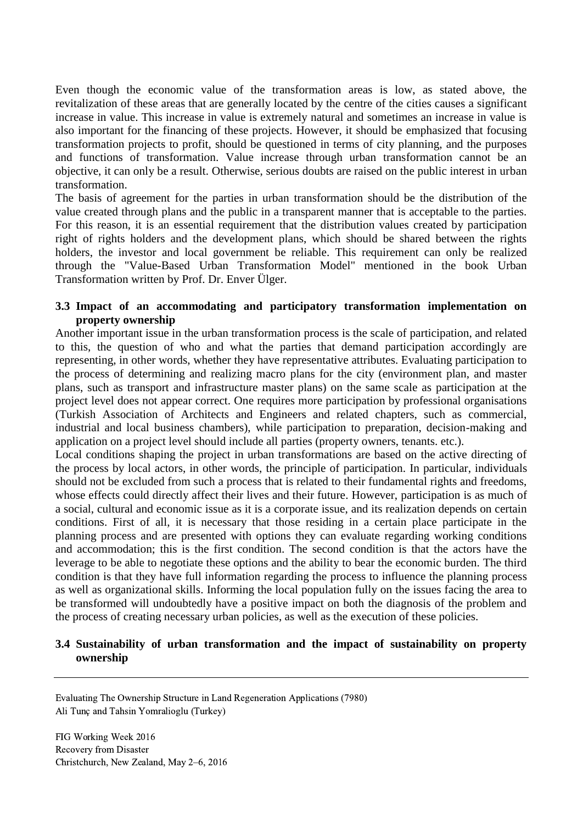Even though the economic value of the transformation areas is low, as stated above, the revitalization of these areas that are generally located by the centre of the cities causes a significant increase in value. This increase in value is extremely natural and sometimes an increase in value is also important for the financing of these projects. However, it should be emphasized that focusing transformation projects to profit, should be questioned in terms of city planning, and the purposes and functions of transformation. Value increase through urban transformation cannot be an objective, it can only be a result. Otherwise, serious doubts are raised on the public interest in urban transformation.

The basis of agreement for the parties in urban transformation should be the distribution of the value created through plans and the public in a transparent manner that is acceptable to the parties. For this reason, it is an essential requirement that the distribution values created by participation right of rights holders and the development plans, which should be shared between the rights holders, the investor and local government be reliable. This requirement can only be realized through the "Value-Based Urban Transformation Model" mentioned in the book Urban Transformation written by Prof. Dr. Enver Ülger.

### **3.3 Impact of an accommodating and participatory transformation implementation on property ownership**

Another important issue in the urban transformation process is the scale of participation, and related to this, the question of who and what the parties that demand participation accordingly are representing, in other words, whether they have representative attributes. Evaluating participation to the process of determining and realizing macro plans for the city (environment plan, and master plans, such as transport and infrastructure master plans) on the same scale as participation at the project level does not appear correct. One requires more participation by professional organisations (Turkish Association of Architects and Engineers and related chapters, such as commercial, industrial and local business chambers), while participation to preparation, decision-making and application on a project level should include all parties (property owners, tenants. etc.).

Local conditions shaping the project in urban transformations are based on the active directing of the process by local actors, in other words, the principle of participation. In particular, individuals should not be excluded from such a process that is related to their fundamental rights and freedoms, whose effects could directly affect their lives and their future. However, participation is as much of a social, cultural and economic issue as it is a corporate issue, and its realization depends on certain conditions. First of all, it is necessary that those residing in a certain place participate in the planning process and are presented with options they can evaluate regarding working conditions and accommodation; this is the first condition. The second condition is that the actors have the leverage to be able to negotiate these options and the ability to bear the economic burden. The third condition is that they have full information regarding the process to influence the planning process as well as organizational skills. Informing the local population fully on the issues facing the area to be transformed will undoubtedly have a positive impact on both the diagnosis of the problem and the process of creating necessary urban policies, as well as the execution of these policies.

### **3.4 Sustainability of urban transformation and the impact of sustainability on property ownership**

Evaluating The Ownership Structure in Land Regeneration Applications (7980) Ali Tunç and Tahsin Yomralioglu (Turkey)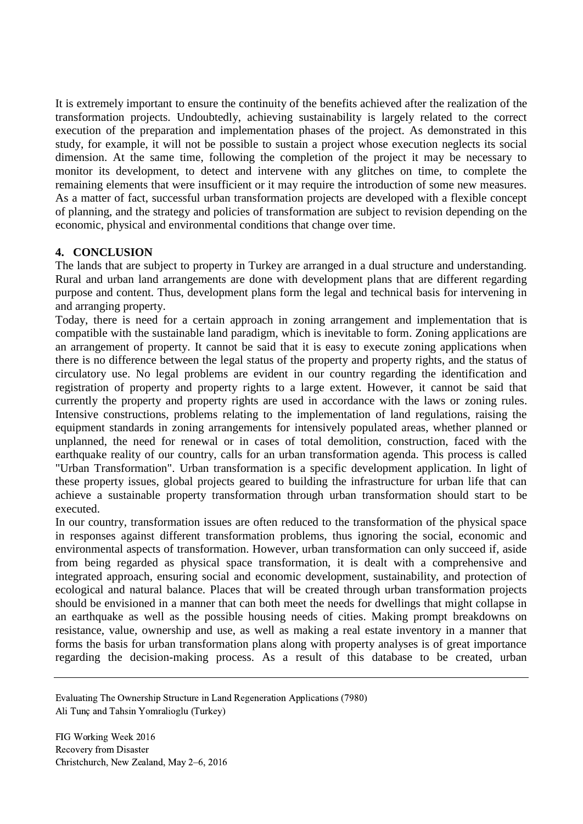It is extremely important to ensure the continuity of the benefits achieved after the realization of the transformation projects. Undoubtedly, achieving sustainability is largely related to the correct execution of the preparation and implementation phases of the project. As demonstrated in this study, for example, it will not be possible to sustain a project whose execution neglects its social dimension. At the same time, following the completion of the project it may be necessary to monitor its development, to detect and intervene with any glitches on time, to complete the remaining elements that were insufficient or it may require the introduction of some new measures. As a matter of fact, successful urban transformation projects are developed with a flexible concept of planning, and the strategy and policies of transformation are subject to revision depending on the economic, physical and environmental conditions that change over time.

# **4. CONCLUSION**

The lands that are subject to property in Turkey are arranged in a dual structure and understanding. Rural and urban land arrangements are done with development plans that are different regarding purpose and content. Thus, development plans form the legal and technical basis for intervening in and arranging property.

Today, there is need for a certain approach in zoning arrangement and implementation that is compatible with the sustainable land paradigm, which is inevitable to form. Zoning applications are an arrangement of property. It cannot be said that it is easy to execute zoning applications when there is no difference between the legal status of the property and property rights, and the status of circulatory use. No legal problems are evident in our country regarding the identification and registration of property and property rights to a large extent. However, it cannot be said that currently the property and property rights are used in accordance with the laws or zoning rules. Intensive constructions, problems relating to the implementation of land regulations, raising the equipment standards in zoning arrangements for intensively populated areas, whether planned or unplanned, the need for renewal or in cases of total demolition, construction, faced with the earthquake reality of our country, calls for an urban transformation agenda. This process is called "Urban Transformation". Urban transformation is a specific development application. In light of these property issues, global projects geared to building the infrastructure for urban life that can achieve a sustainable property transformation through urban transformation should start to be executed.

In our country, transformation issues are often reduced to the transformation of the physical space in responses against different transformation problems, thus ignoring the social, economic and environmental aspects of transformation. However, urban transformation can only succeed if, aside from being regarded as physical space transformation, it is dealt with a comprehensive and integrated approach, ensuring social and economic development, sustainability, and protection of ecological and natural balance. Places that will be created through urban transformation projects should be envisioned in a manner that can both meet the needs for dwellings that might collapse in an earthquake as well as the possible housing needs of cities. Making prompt breakdowns on resistance, value, ownership and use, as well as making a real estate inventory in a manner that forms the basis for urban transformation plans along with property analyses is of great importance regarding the decision-making process. As a result of this database to be created, urban

Evaluating The Ownership Structure in Land Regeneration Applications (7980) Ali Tunç and Tahsin Yomralioglu (Turkey)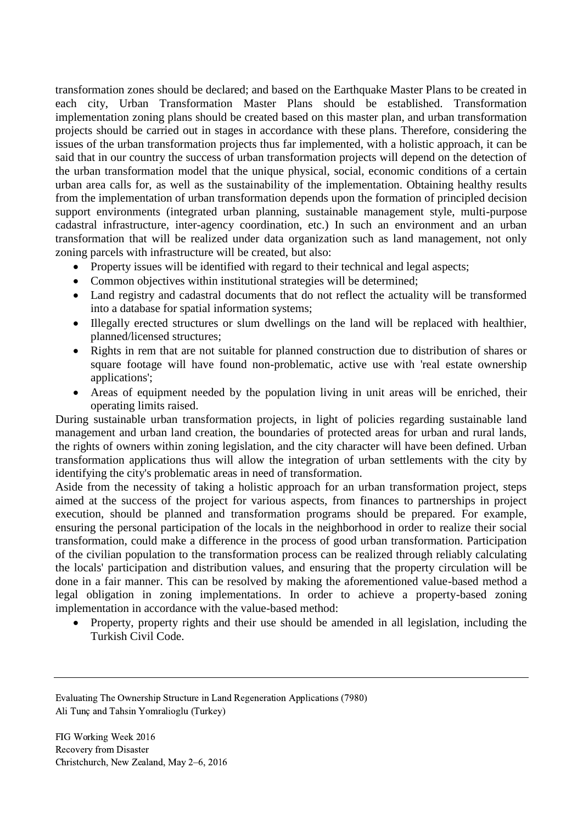transformation zones should be declared; and based on the Earthquake Master Plans to be created in each city, Urban Transformation Master Plans should be established. Transformation implementation zoning plans should be created based on this master plan, and urban transformation projects should be carried out in stages in accordance with these plans. Therefore, considering the issues of the urban transformation projects thus far implemented, with a holistic approach, it can be said that in our country the success of urban transformation projects will depend on the detection of the urban transformation model that the unique physical, social, economic conditions of a certain urban area calls for, as well as the sustainability of the implementation. Obtaining healthy results from the implementation of urban transformation depends upon the formation of principled decision support environments (integrated urban planning, sustainable management style, multi-purpose cadastral infrastructure, inter-agency coordination, etc.) In such an environment and an urban transformation that will be realized under data organization such as land management, not only zoning parcels with infrastructure will be created, but also:

- Property issues will be identified with regard to their technical and legal aspects;
- Common objectives within institutional strategies will be determined;
- Land registry and cadastral documents that do not reflect the actuality will be transformed into a database for spatial information systems;
- Illegally erected structures or slum dwellings on the land will be replaced with healthier, planned/licensed structures;
- Rights in rem that are not suitable for planned construction due to distribution of shares or square footage will have found non-problematic, active use with 'real estate ownership applications';
- Areas of equipment needed by the population living in unit areas will be enriched, their operating limits raised.

During sustainable urban transformation projects, in light of policies regarding sustainable land management and urban land creation, the boundaries of protected areas for urban and rural lands, the rights of owners within zoning legislation, and the city character will have been defined. Urban transformation applications thus will allow the integration of urban settlements with the city by identifying the city's problematic areas in need of transformation.

Aside from the necessity of taking a holistic approach for an urban transformation project, steps aimed at the success of the project for various aspects, from finances to partnerships in project execution, should be planned and transformation programs should be prepared. For example, ensuring the personal participation of the locals in the neighborhood in order to realize their social transformation, could make a difference in the process of good urban transformation. Participation of the civilian population to the transformation process can be realized through reliably calculating the locals' participation and distribution values, and ensuring that the property circulation will be done in a fair manner. This can be resolved by making the aforementioned value-based method a legal obligation in zoning implementations. In order to achieve a property-based zoning implementation in accordance with the value-based method:

• Property, property rights and their use should be amended in all legislation, including the Turkish Civil Code.

Evaluating The Ownership Structure in Land Regeneration Applications (7980) Ali Tunç and Tahsin Yomralioglu (Turkey)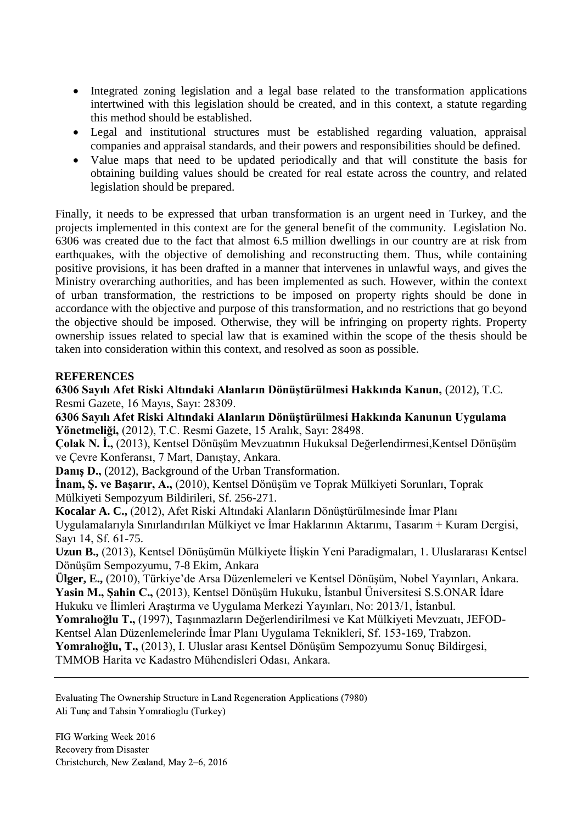- Integrated zoning legislation and a legal base related to the transformation applications intertwined with this legislation should be created, and in this context, a statute regarding this method should be established.
- Legal and institutional structures must be established regarding valuation, appraisal companies and appraisal standards, and their powers and responsibilities should be defined.
- Value maps that need to be updated periodically and that will constitute the basis for obtaining building values should be created for real estate across the country, and related legislation should be prepared.

Finally, it needs to be expressed that urban transformation is an urgent need in Turkey, and the projects implemented in this context are for the general benefit of the community. Legislation No. 6306 was created due to the fact that almost 6.5 million dwellings in our country are at risk from earthquakes, with the objective of demolishing and reconstructing them. Thus, while containing positive provisions, it has been drafted in a manner that intervenes in unlawful ways, and gives the Ministry overarching authorities, and has been implemented as such. However, within the context of urban transformation, the restrictions to be imposed on property rights should be done in accordance with the objective and purpose of this transformation, and no restrictions that go beyond the objective should be imposed. Otherwise, they will be infringing on property rights. Property ownership issues related to special law that is examined within the scope of the thesis should be taken into consideration within this context, and resolved as soon as possible.

## **REFERENCES**

**6306 Sayılı Afet Riski Altındaki Alanların Dönüştürülmesi Hakkında Kanun,** (2012), T.C. Resmi Gazete, 16 Mayıs, Sayı: 28309.

**6306 Sayılı Afet Riski Altındaki Alanların Dönüştürülmesi Hakkında Kanunun Uygulama Yönetmeliği,** (2012), T.C. Resmi Gazete, 15 Aralık, Sayı: 28498.

**Çolak N. İ.,** (2013), Kentsel Dönüşüm Mevzuatının Hukuksal Değerlendirmesi,Kentsel Dönüşüm ve Çevre Konferansı, 7 Mart, Danıştay, Ankara.

**Danış D.,** (2012), Background of the Urban Transformation.

**İnam, Ş. ve Başarır, A.,** (2010), Kentsel Dönüşüm ve Toprak Mülkiyeti Sorunları, Toprak Mülkiyeti Sempozyum Bildirileri, Sf. 256-271.

**Kocalar A. C.,** (2012), Afet Riski Altındaki Alanların Dönüştürülmesinde İmar Planı Uygulamalarıyla Sınırlandırılan Mülkiyet ve İmar Haklarının Aktarımı, Tasarım + Kuram Dergisi, Sayı 14, Sf. 61-75.

**Uzun B.,** (2013), Kentsel Dönüşümün Mülkiyete İlişkin Yeni Paradigmaları, 1. Uluslararası Kentsel Dönüşüm Sempozyumu, 7-8 Ekim, Ankara

**Ülger, E.,** (2010), Türkiye'de Arsa Düzenlemeleri ve Kentsel Dönüşüm, Nobel Yayınları, Ankara. **Yasin M., Şahin C.,** (2013), Kentsel Dönüşüm Hukuku, İstanbul Üniversitesi S.S.ONAR İdare Hukuku ve İlimleri Araştırma ve Uygulama Merkezi Yayınları, No: 2013/1, İstanbul.

**Yomralıoğlu T.,** (1997), Taşınmazların Değerlendirilmesi ve Kat Mülkiyeti Mevzuatı, JEFOD-

Kentsel Alan Düzenlemelerinde İmar Planı Uygulama Teknikleri, Sf. 153-169, Trabzon. **Yomralıoğlu, T.,** (2013), I. Uluslar arası Kentsel Dönüşüm Sempozyumu Sonuç Bildirgesi,

TMMOB Harita ve Kadastro Mühendisleri Odası, Ankara.

Evaluating The Ownership Structure in Land Regeneration Applications (7980) Ali Tunç and Tahsin Yomralioglu (Turkey)